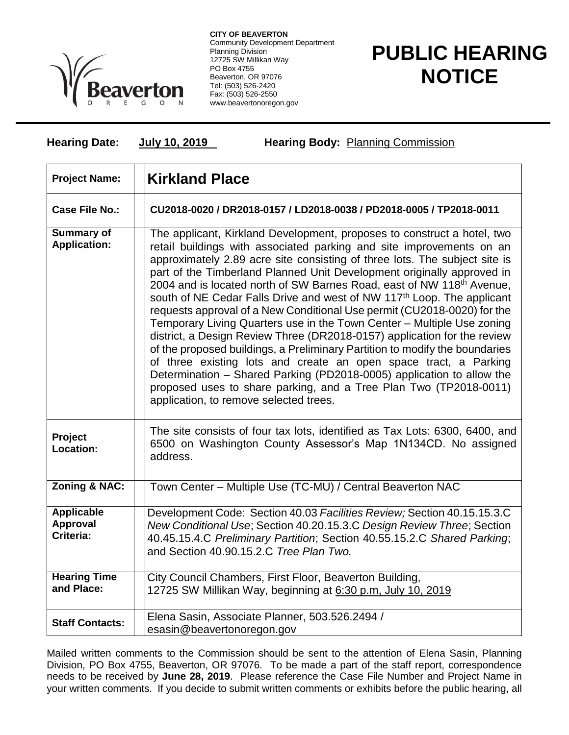

**CITY OF BEAVERTON** Community Development Department Planning Division 12725 SW Millikan Way PO Box 4755 Beaverton, OR 97076 Tel: (503) 526-2420 Fax: (503) 526-2550 www.beavertonoregon.gov

**Hearing Date: July 10, 2019 Hearing Body:** Planning Commission

## **PUBLIC HEARING NOTICE**

| <b>Project Name:</b>                       | <b>Kirkland Place</b>                                                                                                                                                                                                                                                                                                                                                                                                                                                                                                                                                                                                                                                                                                                                                                                                                                                                                                                                                                                                                                          |
|--------------------------------------------|----------------------------------------------------------------------------------------------------------------------------------------------------------------------------------------------------------------------------------------------------------------------------------------------------------------------------------------------------------------------------------------------------------------------------------------------------------------------------------------------------------------------------------------------------------------------------------------------------------------------------------------------------------------------------------------------------------------------------------------------------------------------------------------------------------------------------------------------------------------------------------------------------------------------------------------------------------------------------------------------------------------------------------------------------------------|
| <b>Case File No.:</b>                      | CU2018-0020 / DR2018-0157 / LD2018-0038 / PD2018-0005 / TP2018-0011                                                                                                                                                                                                                                                                                                                                                                                                                                                                                                                                                                                                                                                                                                                                                                                                                                                                                                                                                                                            |
| Summary of<br><b>Application:</b>          | The applicant, Kirkland Development, proposes to construct a hotel, two<br>retail buildings with associated parking and site improvements on an<br>approximately 2.89 acre site consisting of three lots. The subject site is<br>part of the Timberland Planned Unit Development originally approved in<br>2004 and is located north of SW Barnes Road, east of NW 118 <sup>th</sup> Avenue,<br>south of NE Cedar Falls Drive and west of NW 117 <sup>th</sup> Loop. The applicant<br>requests approval of a New Conditional Use permit (CU2018-0020) for the<br>Temporary Living Quarters use in the Town Center - Multiple Use zoning<br>district, a Design Review Three (DR2018-0157) application for the review<br>of the proposed buildings, a Preliminary Partition to modify the boundaries<br>of three existing lots and create an open space tract, a Parking<br>Determination - Shared Parking (PD2018-0005) application to allow the<br>proposed uses to share parking, and a Tree Plan Two (TP2018-0011)<br>application, to remove selected trees. |
| Project<br>Location:                       | The site consists of four tax lots, identified as Tax Lots: 6300, 6400, and<br>6500 on Washington County Assessor's Map 1N134CD. No assigned<br>address.                                                                                                                                                                                                                                                                                                                                                                                                                                                                                                                                                                                                                                                                                                                                                                                                                                                                                                       |
| Zoning & NAC:                              | Town Center - Multiple Use (TC-MU) / Central Beaverton NAC                                                                                                                                                                                                                                                                                                                                                                                                                                                                                                                                                                                                                                                                                                                                                                                                                                                                                                                                                                                                     |
| <b>Applicable</b><br>Approval<br>Criteria: | Development Code: Section 40.03 Facilities Review; Section 40.15.15.3.C<br>New Conditional Use; Section 40.20.15.3.C Design Review Three; Section<br>40.45.15.4.C Preliminary Partition; Section 40.55.15.2.C Shared Parking;<br>and Section 40.90.15.2.C Tree Plan Two.                                                                                                                                                                                                                                                                                                                                                                                                                                                                                                                                                                                                                                                                                                                                                                                       |
| <b>Hearing Time</b><br>and Place:          | City Council Chambers, First Floor, Beaverton Building,<br>12725 SW Millikan Way, beginning at 6:30 p.m, July 10, 2019                                                                                                                                                                                                                                                                                                                                                                                                                                                                                                                                                                                                                                                                                                                                                                                                                                                                                                                                         |
| <b>Staff Contacts:</b>                     | Elena Sasin, Associate Planner, 503.526.2494 /<br>esasin@beavertonoregon.gov                                                                                                                                                                                                                                                                                                                                                                                                                                                                                                                                                                                                                                                                                                                                                                                                                                                                                                                                                                                   |

Mailed written comments to the Commission should be sent to the attention of Elena Sasin, Planning Division, PO Box 4755, Beaverton, OR 97076. To be made a part of the staff report, correspondence needs to be received by **June 28, 2019**. Please reference the Case File Number and Project Name in your written comments. If you decide to submit written comments or exhibits before the public hearing, all